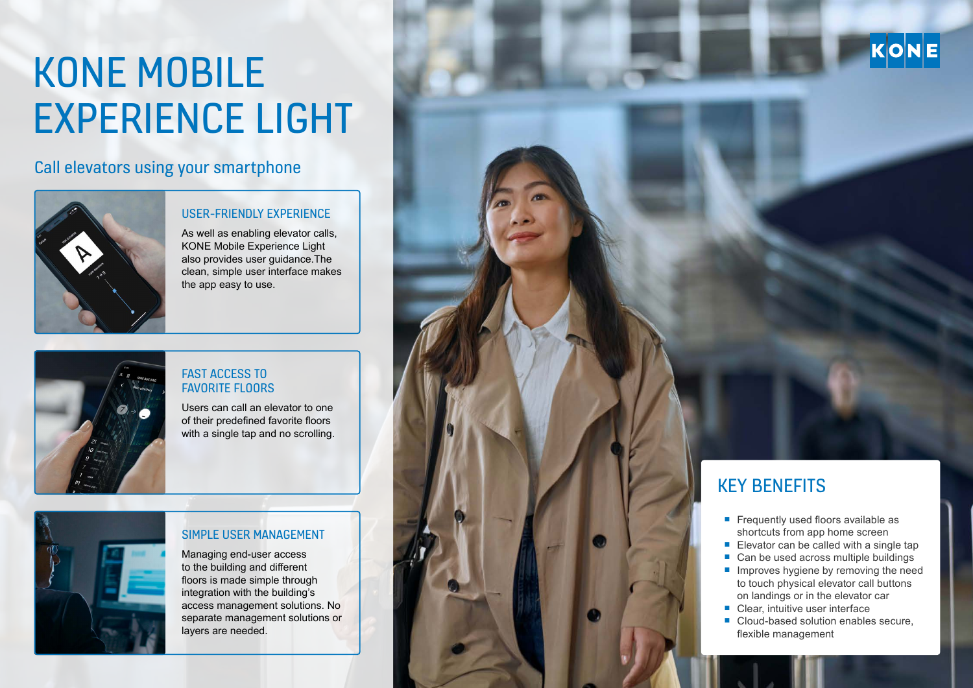# KONE MOBILE EXPERIENCE LIGHT

### Call elevators using your smartphone



#### USER-FRIENDLY EXPERIENCE

As well as enabling elevator calls, KONE Mobile Experience Light also provides user guidance.The clean, simple user interface makes the app easy to use.



#### FAST ACCESS TO FAVORITE FLOORS

Users can call an elevator to one of their predefined favorite floors with a single tap and no scrolling.



#### SIMPLE USER MANAGEMENT

Managing end-user access to the building and different floors is made simple through integration with the building's access management solutions. No separate management solutions or layers are needed.

## KEY BENEFITS

- Frequently used floors available as shortcuts from app home screen
- $\blacksquare$  Elevator can be called with a single tap

KONE

- Can be used across multiple buildings
- $\blacksquare$  Improves hygiene by removing the need to touch physical elevator call buttons on landings or in the elevator car
- Clear, intuitive user interface
- Cloud-based solution enables secure, flexible management